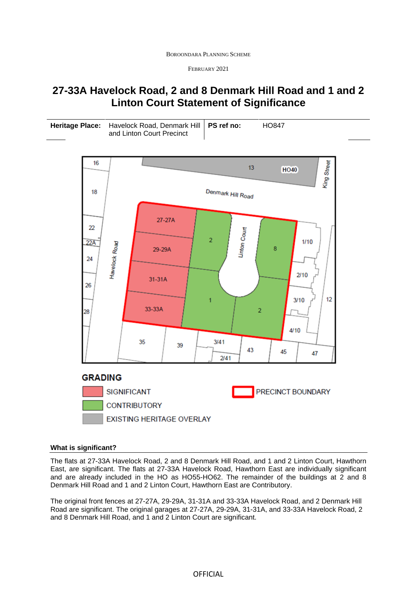BOROONDARA PLANNING SCHEME

FEBRUARY 2021

# **27-33A Havelock Road, 2 and 8 Denmark Hill Road and 1 and 2 Linton Court Statement of Significance**

| Heritage Place: Havelock Road, Denmark Hill   PS ref no: | <b>HO847</b> |
|----------------------------------------------------------|--------------|
| and Linton Court Precinct                                |              |



## **What is significant?**

The flats at 27-33A Havelock Road, 2 and 8 Denmark Hill Road, and 1 and 2 Linton Court, Hawthorn East, are significant. The flats at 27-33A Havelock Road, Hawthorn East are individually significant and are already included in the HO as HO55-HO62. The remainder of the buildings at 2 and 8 Denmark Hill Road and 1 and 2 Linton Court, Hawthorn East are Contributory.

The original front fences at 27-27A, 29-29A, 31-31A and 33-33A Havelock Road, and 2 Denmark Hill Road are significant. The original garages at 27-27A, 29-29A, 31-31A, and 33-33A Havelock Road, 2 and 8 Denmark Hill Road, and 1 and 2 Linton Court are significant.